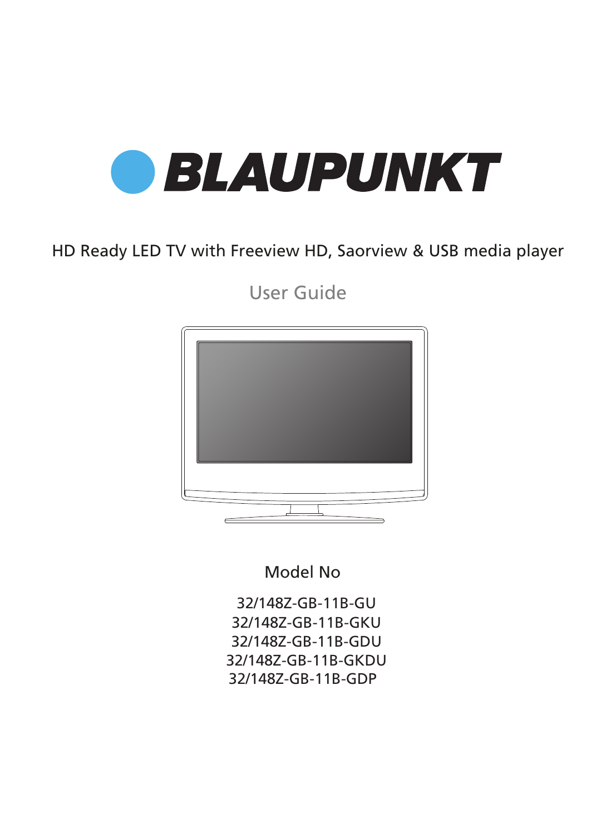

### HD Ready LED TV with Freeview HD, Saorview & USB media player

User Guide



Model No

32/148Z-GB-11B-GU 32/148Z-GB-11B-GKU 32/148Z-GB-11B-GDU 32/148Z-GB-11B-GKDU 32/148Z-GB-11B-GDP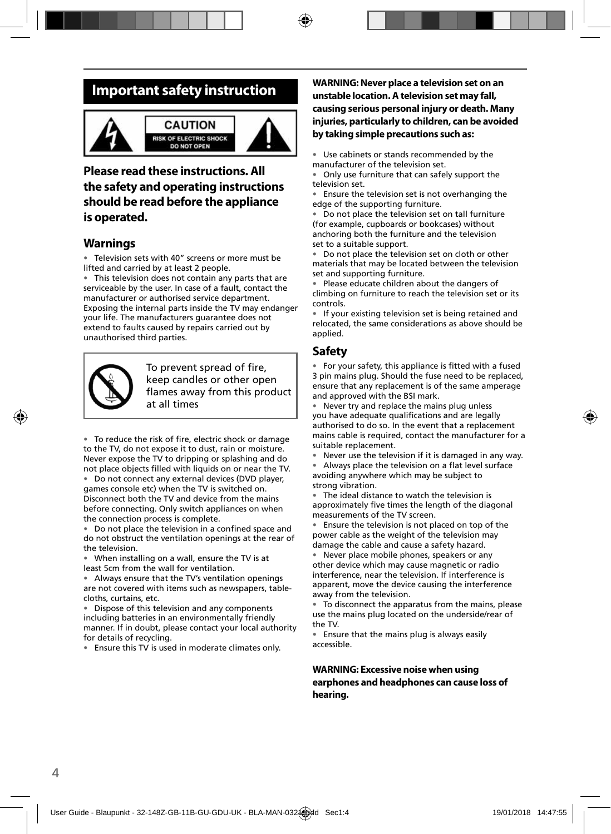### **Important safety instruction**



#### **CAUTION ISK OF ELECTRIC SHOCK DO NOT OPEN**



### **Please read these instructions. All the safety and operating instructions should be read before the appliance is operated.**

#### **Warnings**

• Television sets with 40" screens or more must be lifted and carried by at least 2 people.

This television does not contain any parts that are serviceable by the user. In case of a fault, contact the manufacturer or authorised service department. Exposing the internal parts inside the TV may endanger your life. The manufacturers guarantee does not extend to faults caused by repairs carried out by unauthorised third parties.



To prevent spread of fire, keep candles or other open flames away from this product at all times

• To reduce the risk of fire, electric shock or damage to the TV, do not expose it to dust, rain or moisture. Never expose the TV to dripping or splashing and do not place objects filled with liquids on or near the TV.

• Do not connect any external devices (DVD player, games console etc) when the TV is switched on. Disconnect both the TV and device from the mains before connecting. Only switch appliances on when the connection process is complete.

Do not place the television in a confined space and do not obstruct the ventilation openings at the rear of the television.

• When installing on a wall, ensure the TV is at least 5cm from the wall for ventilation.

• Always ensure that the TV's ventilation openings are not covered with items such as newspapers, tablecloths, curtains, etc.

• Dispose of this television and any components including batteries in an environmentally friendly manner. If in doubt, please contact your local authority for details of recycling.

• Ensure this TV is used in moderate climates only.

#### **WARNING: Never place a television set on an unstable location. A television set may fall, causing serious personal injury or death. Many injuries, particularly to children, can be avoided by taking simple precautions such as:**

Use cabinets or stands recommended by the manufacturer of the television set.

• Only use furniture that can safely support the television set.

• Ensure the television set is not overhanging the edge of the supporting furniture.

• Do not place the television set on tall furniture (for example, cupboards or bookcases) without anchoring both the furniture and the television set to a suitable support.

• Do not place the television set on cloth or other materials that may be located between the television set and supporting furniture.

• Please educate children about the dangers of climbing on furniture to reach the television set or its controls.

If your existing television set is being retained and relocated, the same considerations as above should be applied.

### **Safety**

• For your safety, this appliance is fitted with a fused 3 pin mains plug. Should the fuse need to be replaced, ensure that any replacement is of the same amperage and approved with the BSI mark.

• Never try and replace the mains plug unless you have adequate qualifications and are legally authorised to do so. In the event that a replacement mains cable is required, contact the manufacturer for a suitable replacement.

• Never use the television if it is damaged in any way.

Always place the television on a flat level surface avoiding anywhere which may be subject to strong vibration.

• The ideal distance to watch the television is approximately five times the length of the diagonal measurements of the TV screen.

• Ensure the television is not placed on top of the power cable as the weight of the television may damage the cable and cause a safety hazard.

• Never place mobile phones, speakers or any other device which may cause magnetic or radio interference, near the television. If interference is apparent, move the device causing the interference away from the television.

• To disconnect the apparatus from the mains, please use the mains plug located on the underside/rear of the TV.

• Ensure that the mains plug is always easily accessible.

**WARNING: Excessive noise when using earphones and headphones can cause loss of hearing.**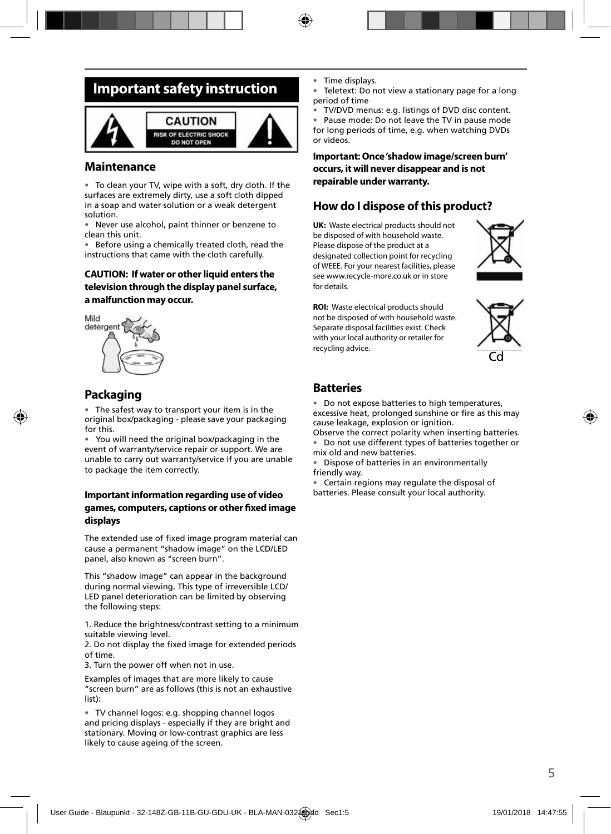### **Important safety instruction**



#### **Maintenance**

• To clean your TV, wipe with a soft, dry cloth. If the surfaces are extremely dirty, use a soft cloth dipped in a soap and water solution or a weak detergent solution.

• Never use alcohol, paint thinner or benzene to clean this unit.

• Before using a chemically treated cloth, read the instructions that came with the cloth carefully.

#### **CAUTION: If water or other liquid enters the television through the display panel surface, a malfunction may occur.**



### **Packaging**

The safest way to transport your item is in the original box/packaging - please save your packaging for this.

• You will need the original box/packaging in the event of warranty/service repair or support. We are unable to carry out warranty/service if you are unable to package the item correctly.

#### **Important information regarding use of video games, computers, captions or other fi xed image displays**

The extended use of fixed image program material can cause a permanent "shadow image" on the LCD/LED panel, also known as "screen burn".

This "shadow image" can appear in the background during normal viewing. This type of irreversible LCD/ LED panel deterioration can be limited by observing the following steps:

1. Reduce the brightness/contrast setting to a minimum suitable viewing level.

2. Do not display the fixed image for extended periods of time.

3. Turn the power off when not in use.

Examples of images that are more likely to cause "screen burn" are as follows (this is not an exhaustive list):

• TV channel logos: e.g. shopping channel logos and pricing displays - especially if they are bright and stationary. Moving or low-contrast graphics are less likely to cause ageing of the screen.

- Time displays.
- Teletext: Do not view a stationary page for a long period of time

• TV/DVD menus: e.g. listings of DVD disc content. • Pause mode: Do not leave the TV in pause mode for long periods of time, e.g. when watching DVDs or videos.

#### **Important: Once 'shadow image/screen burn' occurs, it will never disappear and is not repairable under warranty.**

### **How do I dispose of this product?**

**UK:** Waste electrical products should not be disposed of with household waste. Please dispose of the product at a designated collection point for recycling of WEEE. For your nearest facilities, please see www.recycle-more.co.uk or in store for details.



**ROI:** Waste electrical products should not be disposed of with household waste. Separate disposal facilities exist. Check with your local authority or retailer for recycling advice.



#### **Batteries**

• Do not expose batteries to high temperatures, excessive heat, prolonged sunshine or fire as this may cause leakage, explosion or ignition.

Observe the correct polarity when inserting batteries. • Do not use different types of batteries together or mix old and new batteries.

• Dispose of batteries in an environmentally friendly way.

• Certain regions may regulate the disposal of batteries. Please consult your local authority.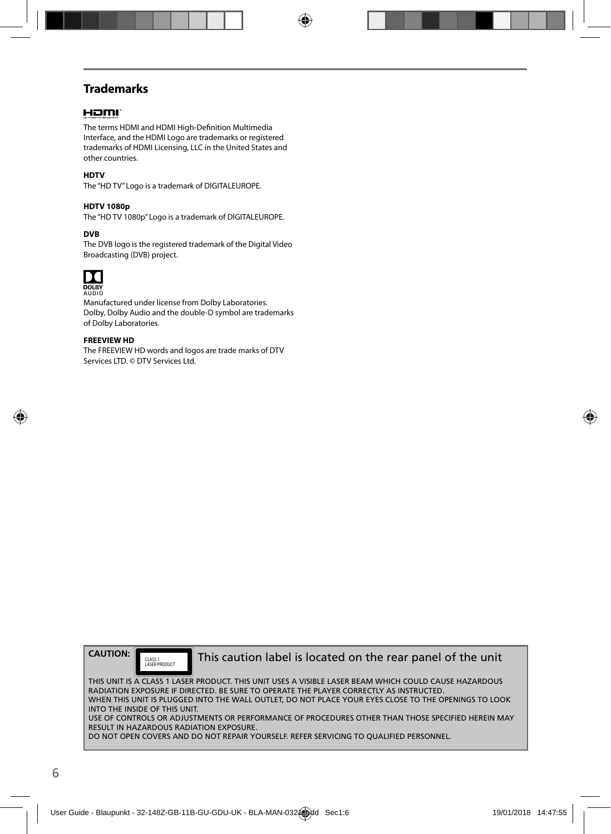### **Trademarks**

#### Hami

The terms HDMI and HDMI High-Definition Multimedia Interface, and the HDMI Logo are trademarks or registered trademarks of HDMI Licensing, LLC in the United States and other countries.

#### **HDTV**

The "HD TV" Logo is a trademark of DIGITALEUROPE.

#### **HDTV 1080p**

The "HD TV 1080p" Logo is a trademark of DIGITALEUROPE.

#### **DVB**

The DVB logo is the registered trademark of the Digital Video Broadcasting (DVB) project.



AUDIO

Manufactured under license from Dolby Laboratories. Dolby, Dolby Audio and the double-D symbol are trademarks of Dolby Laboratories.

#### **FREEVIEW HD**

The FREEVIEW HD words and logos are trade marks of DTV Services LTD. © DTV Services Ltd.

**CAUTION:**

CLASS 1<br>LASER PRODUCT

This caution label is located on the rear panel of the unit

THIS UNIT IS A CLASS 1 LASER PRODUCT. THIS UNIT USES A VISIBLE LASER BEAM WHICH COULD CAUSE HAZARDOUS RADIATION EXPOSURE IF DIRECTED. BE SURE TO OPERATE THE PLAYER CORRECTLY AS INSTRUCTED. WHEN THIS UNIT IS PLUGGED INTO THE WALL OUTLET, DO NOT PLACE YOUR EYES CLOSE TO THE OPENINGS TO LOOK INTO THE INSIDE OF THIS UNIT. USE OF CONTROLS OR ADJUSTMENTS OR PERFORMANCE OF PROCEDURES OTHER THAN THOSE SPECIFIED HEREIN MAY RESULT IN HAZARDOUS RADIATION EXPOSURE. DO NOT OPEN COVERS AND DO NOT REPAIR YOURSELF. REFER SERVICING TO QUALIFIED PERSONNEL.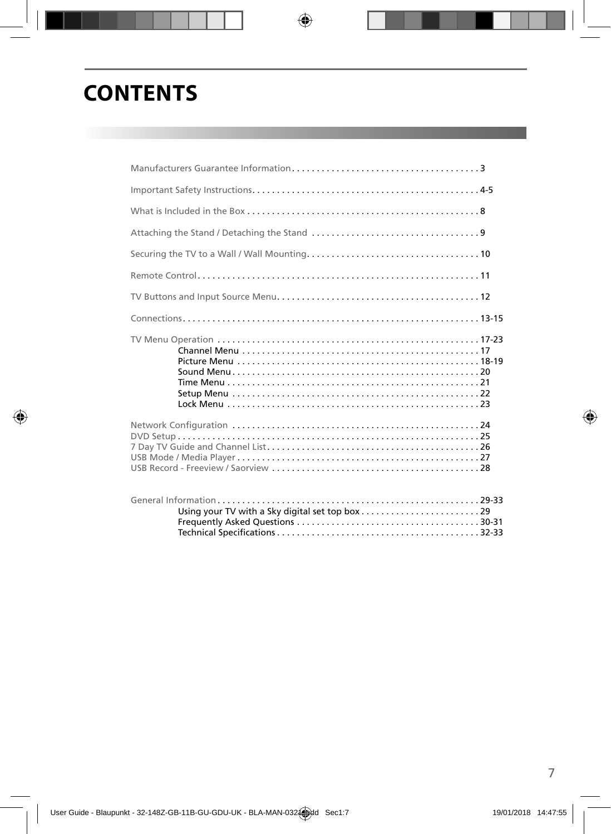# **CONTENTS**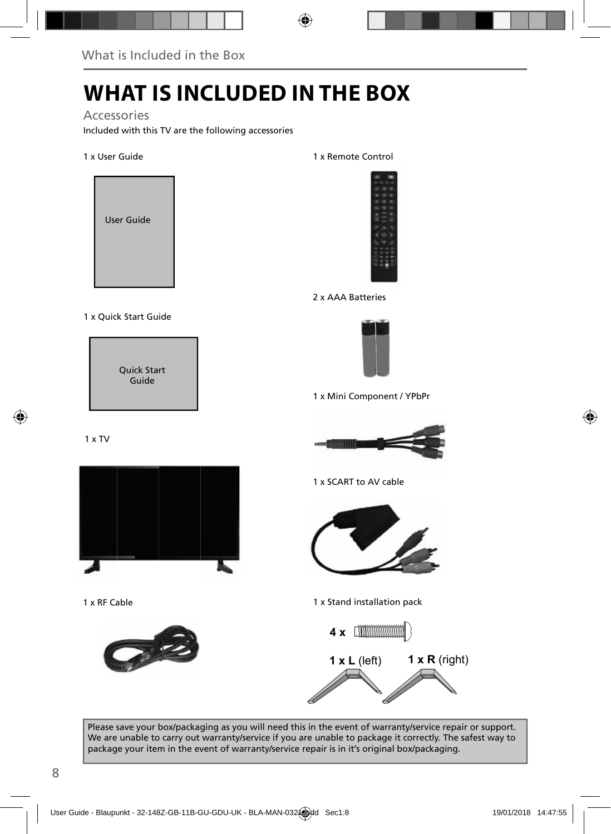## **WHAT IS INCLUDED IN THE BOX**

Accessories

Included with this TV are the following accessories

1 x User Guide



#### 1 x Quick Start Guide

Quick Start Guide

1 x TV



1 x RF Cable



1 x Remote Control



2 x AAA Batteries



1 x Mini Component / YPbPr



1 x SCART to AV cable



1 x Stand installation pack



Please save your box/packaging as you will need this in the event of warranty/service repair or support. We are unable to carry out warranty/service if you are unable to package it correctly. The safest way to package your item in the event of warranty/service repair is in it's original box/packaging.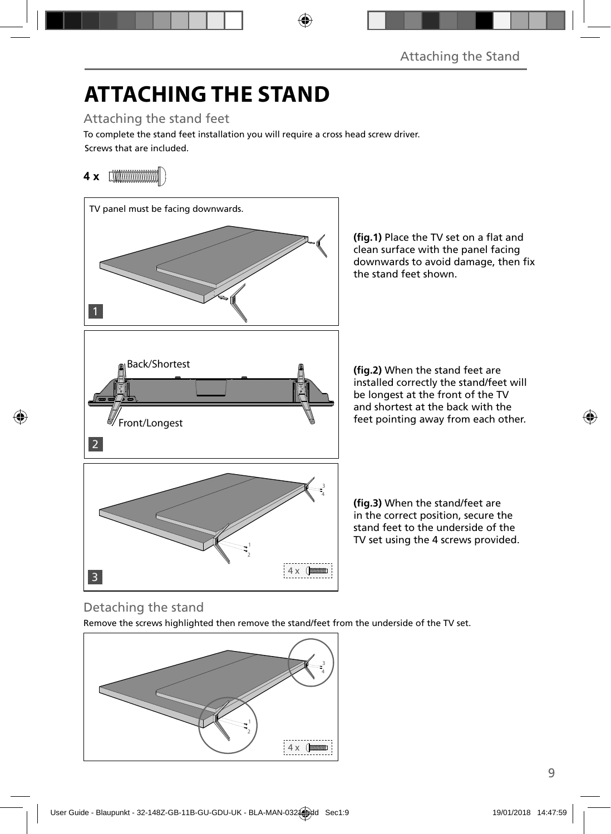# **ATTACHING THE STAND**

### Attaching the stand feet

Screws that are included. To complete the stand feet installation you will require a cross head screw driver.

### **4 x**



(fig.1) Place the TV set on a flat and clean surface with the panel facing downwards to avoid damage, then fix the stand feet shown.

**(fig.2)** When the stand feet are installed correctly the stand/feet will be longest at the front of the TV and shortest at the back with the feet pointing away from each other.

(fig.3) When the stand/feet are in the correct position, secure the stand feet to the underside of the TV set using the 4 screws provided.

### Detaching the stand

Remove the screws highlighted then remove the stand/feet from the underside of the TV set.

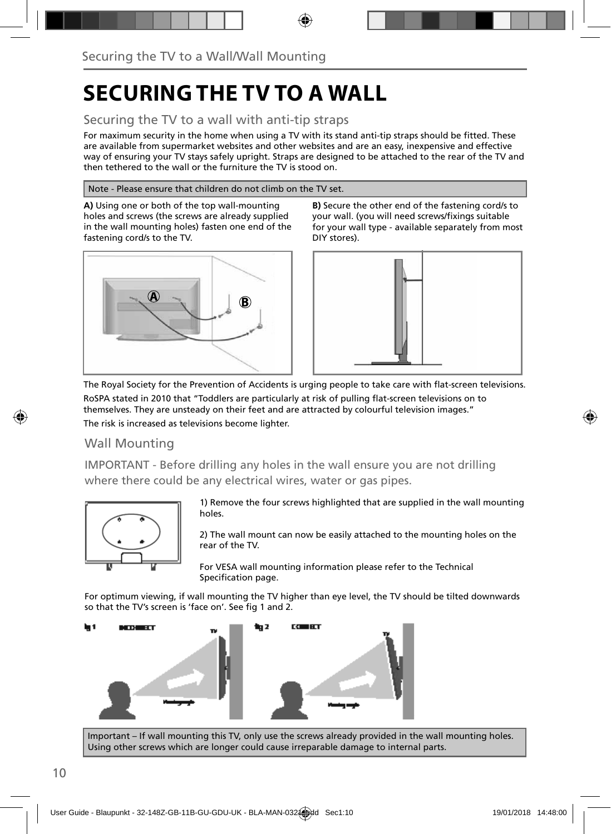## **SECURING THE TV TO A WALL**

### Securing the TV to a wall with anti-tip straps

For maximum security in the home when using a TV with its stand anti-tip straps should be fitted. These are available from supermarket websites and other websites and are an easy, inexpensive and effective way of ensuring your TV stays safely upright. Straps are designed to be attached to the rear of the TV and then tethered to the wall or the furniture the TV is stood on.

#### Note - Please ensure that children do not climb on the TV set.

**A)** Using one or both of the top wall-mounting holes and screws (the screws are already supplied in the wall mounting holes) fasten one end of the fastening cord/s to the TV.



**B)** Secure the other end of the fastening cord/s to your wall. (you will need screws/fixings suitable for your wall type - available separately from most DIY stores).



The Royal Society for the Prevention of Accidents is urging people to take care with flat-screen televisions. RoSPA stated in 2010 that "Toddlers are particularly at risk of pulling flat-screen televisions on to themselves. They are unsteady on their feet and are attracted by colourful television images." The risk is increased as televisions become lighter.

#### Wall Mounting

IMPORTANT - Before drilling any holes in the wall ensure you are not drilling where there could be any electrical wires, water or gas pipes.



1) Remove the four screws highlighted that are supplied in the wall mounting holes.

2) The wall mount can now be easily attached to the mounting holes on the rear of the TV.

For VESA wall mounting information please refer to the Technical Specification page.

For optimum viewing, if wall mounting the TV higher than eye level, the TV should be tilted downwards so that the TV's screen is 'face on'. See fig 1 and 2.



Important – If wall mounting this TV, only use the screws already provided in the wall mounting holes. Using other screws which are longer could cause irreparable damage to internal parts.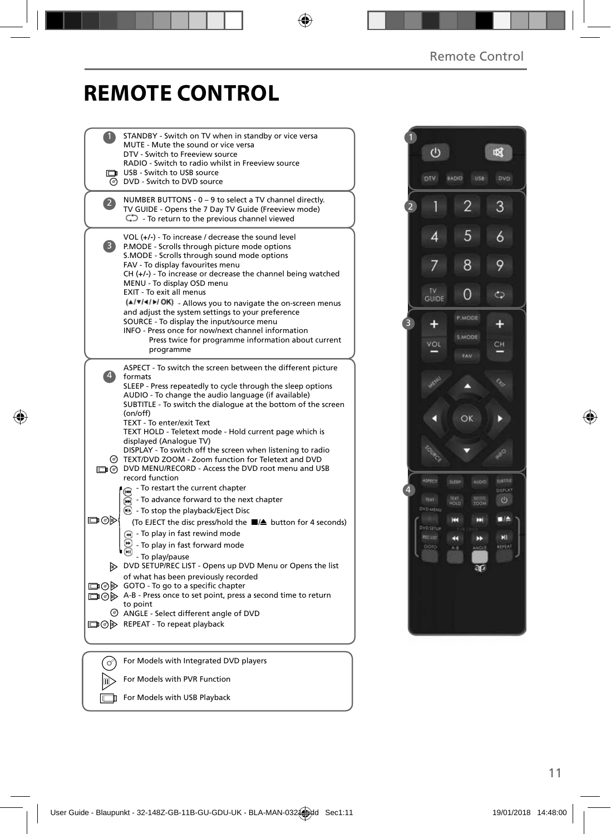## **REMOTE CONTROL**

|              | STANDBY - Switch on TV when in standby or vice versa<br>MUTE - Mute the sound or vice versa<br>DTV - Switch to Freeview source<br>RADIO - Switch to radio whilst in Freeview source<br>USB - Switch to USB source<br><b>O</b> DVD - Switch to DVD source                                                                                                                                                                                                                                                                                                                                                                |  |
|--------------|-------------------------------------------------------------------------------------------------------------------------------------------------------------------------------------------------------------------------------------------------------------------------------------------------------------------------------------------------------------------------------------------------------------------------------------------------------------------------------------------------------------------------------------------------------------------------------------------------------------------------|--|
| $\mathbf{2}$ | NUMBER BUTTONS - 0 - 9 to select a TV channel directly.<br>TV GUIDE - Opens the 7 Day TV Guide (Freeview mode)<br>$\mathbb{C}$ To return to the previous channel viewed                                                                                                                                                                                                                                                                                                                                                                                                                                                 |  |
| 3)           | $VOL (+/-)$ - To increase / decrease the sound level<br>P.MODE - Scrolls through picture mode options<br>S.MODE - Scrolls through sound mode options<br>FAV - To display favourites menu<br>$CH (+/-)$ - To increase or decrease the channel being watched<br>MENU - To display OSD menu<br>EXIT - To exit all menus<br>(A/V/4/D/OK) - Allows you to navigate the on-screen menus<br>and adjust the system settings to your preference<br>SOURCE - To display the input/source menu<br>INFO - Press once for now/next channel information<br>Press twice for programme information about current<br>programme           |  |
| 4)           | ASPECT - To switch the screen between the different picture<br>formats<br>SLEEP - Press repeatedly to cycle through the sleep options<br>AUDIO - To change the audio language (if available)<br>SUBTITLE - To switch the dialogue at the bottom of the screen<br>(on/off)<br>TEXT - To enter/exit Text<br>TEXT HOLD - Teletext mode - Hold current page which is<br>displayed (Analogue TV)<br>DISPLAY - To switch off the screen when listening to radio<br>TEXT/DVD ZOOM - Zoom function for Teletext and DVD<br>DVD MENU/RECORD - Access the DVD root menu and USB<br>record function                                |  |
| య⊚⊡          | - To restart the current chapter<br>ଳେ<br>To advance forward to the next chapter<br>$\odot$ - To stop the playback/Eject Disc<br>(To EJECT the disc press/hold the ■/▲ button for 4 seconds)<br>$\left( \widehat{m} \right)$ - To play in fast rewind mode<br>- To play in fast forward mode<br>- To play/pause<br>DVD SETUP/REC LIST - Opens up DVD Menu or Opens the list<br>of what has been previously recorded<br>□ ⊙ GOTO - To go to a specific chapter<br>A-B - Press once to set point, press a second time to return<br>to point<br>ANGLE - Select different angle of DVD<br>□ ⊙ > REPEAT - To repeat playback |  |
|              | For Models with Integrated DVD players                                                                                                                                                                                                                                                                                                                                                                                                                                                                                                                                                                                  |  |
|              | For Models with PVR Function                                                                                                                                                                                                                                                                                                                                                                                                                                                                                                                                                                                            |  |

For Models with USB Playback

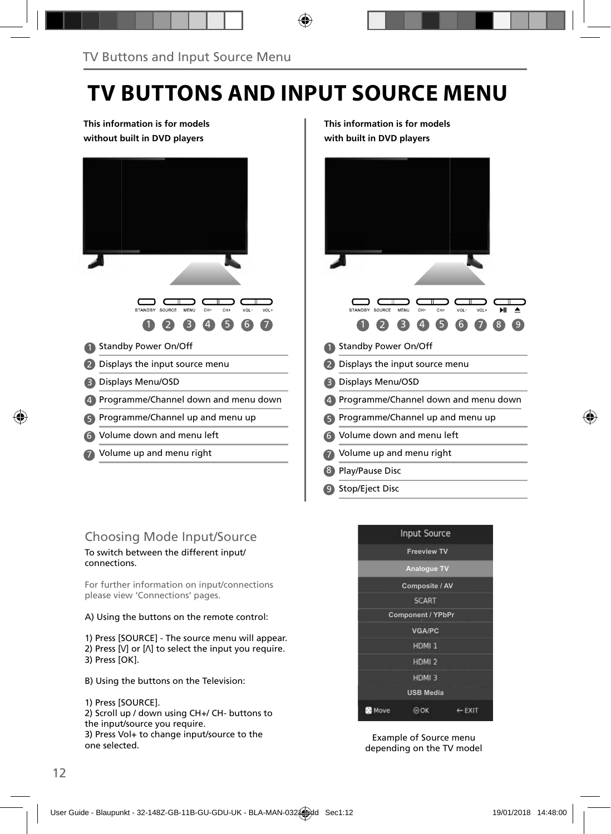## **TV BUTTONS AND INPUT SOURCE MENU**

#### **This information is for models without built in DVD players**



**This information is for models with built in DVD players**



### Choosing Mode Input/Source

To switch between the different input/ connections.

For further information on input/connections please view 'Connections' pages.

A) Using the buttons on the remote control:

1) Press [SOURCE] - The source menu will appear. 2) Press  $[V]$  or  $[\Lambda]$  to select the input you require. 3) Press [OK].

B) Using the buttons on the Television:

1) Press [SOURCE].

2) Scroll up / down using CH+/ CH- buttons to the input/source you require. 3) Press Vol+ to change input/source to the one selected.



Example of Source menu depending on the TV model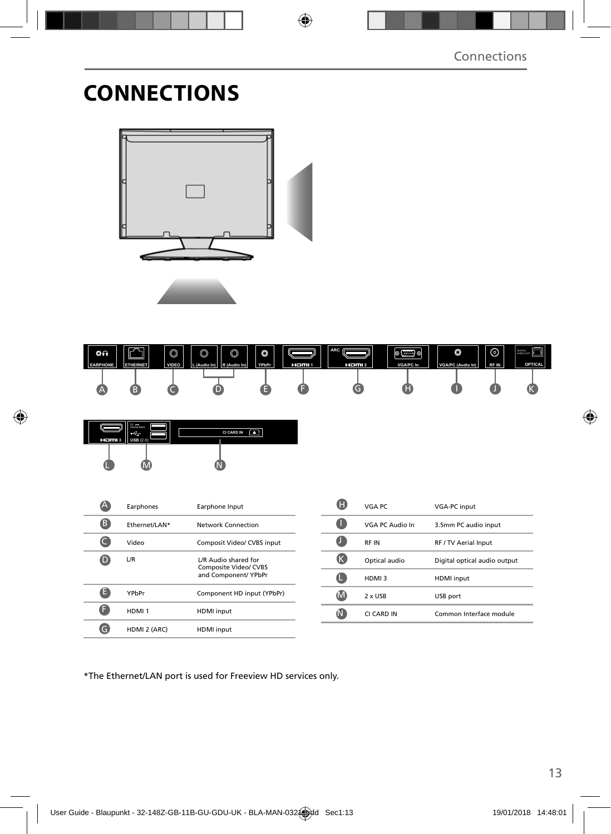## **CONNECTIONS**





| HDMI3 USB $(2.0)$ | $W =$<br>500mA MAX | <b>CI CARD IN</b> |  |
|-------------------|--------------------|-------------------|--|
|                   |                    |                   |  |

|   | Earphones         | Earphone Input                                                        |
|---|-------------------|-----------------------------------------------------------------------|
| В | Ethernet/LAN*     | Network Connection                                                    |
|   | Video             | Composit Video/ CVBS input                                            |
|   | L/R               | L/R Audio shared for<br>Composite Video/ CVBS<br>and Component/ YPbPr |
|   | YPbPr             | Component HD input (YPbPr)                                            |
|   | HDMI <sub>1</sub> | <b>HDMI</b> input                                                     |
|   | HDMI 2 (ARC)      | <b>HDMI</b> input                                                     |

|   | VGA PC          | <b>VGA-PC input</b>          |
|---|-----------------|------------------------------|
|   | VGA PC Audio In | 3.5mm PC audio input         |
|   | <b>RFIN</b>     | RF / TV Aerial Input         |
| ĸ | Optical audio   | Digital optical audio output |
|   | HDMI3           | <b>HDMI</b> input            |
|   | 2 x USB         | USB port                     |
|   | CI CARD IN      | Common Interface module      |

\*The Ethernet/LAN port is used for Freeview HD services only.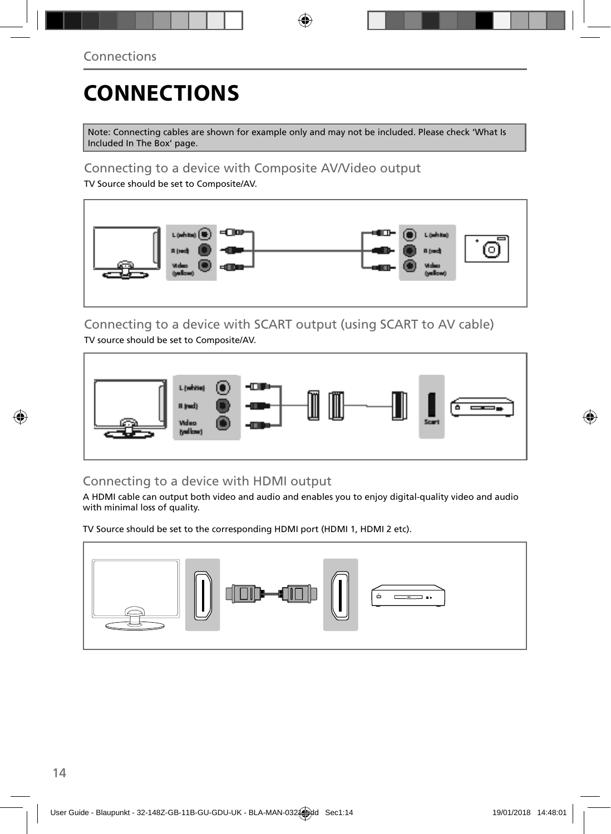# **CONNECTIONS**

Note: Connecting cables are shown for example only and may not be included. Please check 'What Is Included In The Box' page.

### Connecting to a device with Composite AV/Video output

TV Source should be set to Composite/AV.



#### Connecting to a device with SCART output (using SCART to AV cable) TV source should be set to Composite/AV.



### Connecting to a device with HDMI output

A HDMI cable can output both video and audio and enables you to enjoy digital-quality video and audio with minimal loss of quality.

TV Source should be set to the corresponding HDMI port (HDMI 1, HDMI 2 etc).

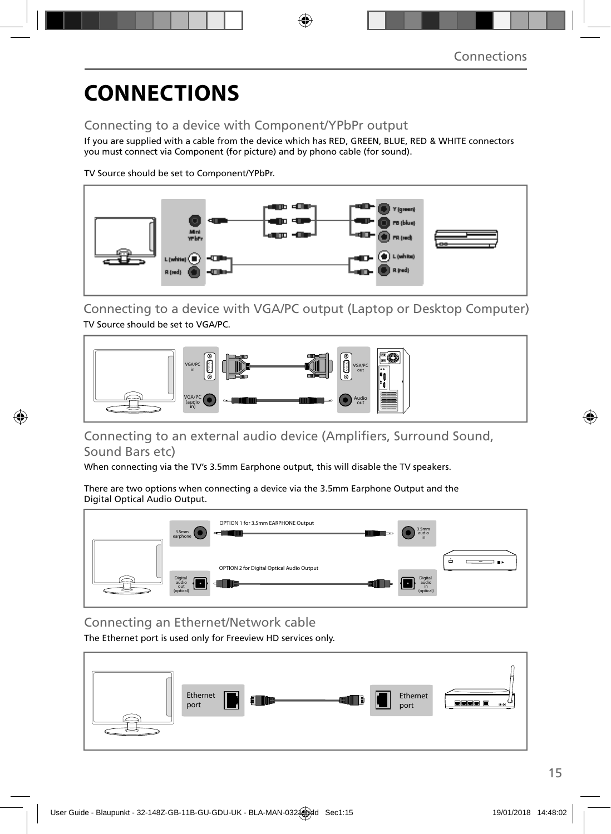# **CONNECTIONS**

### Connecting to a device with Component/YPbPr output

If you are supplied with a cable from the device which has RED, GREEN, BLUE, RED & WHITE connectors you must connect via Component (for picture) and by phono cable (for sound).

TV Source should be set to Component/YPbPr.



Connecting to a device with VGA/PC output (Laptop or Desktop Computer) TV Source should be set to VGA/PC.



### Connecting to an external audio device (Amplifiers, Surround Sound, Sound Bars etc)

When connecting via the TV's 3.5mm Earphone output, this will disable the TV speakers.

There are two options when connecting a device via the 3.5mm Earphone Output and the Digital Optical Audio Output.



Connecting an Ethernet/Network cable

The Ethernet port is used only for Freeview HD services only.

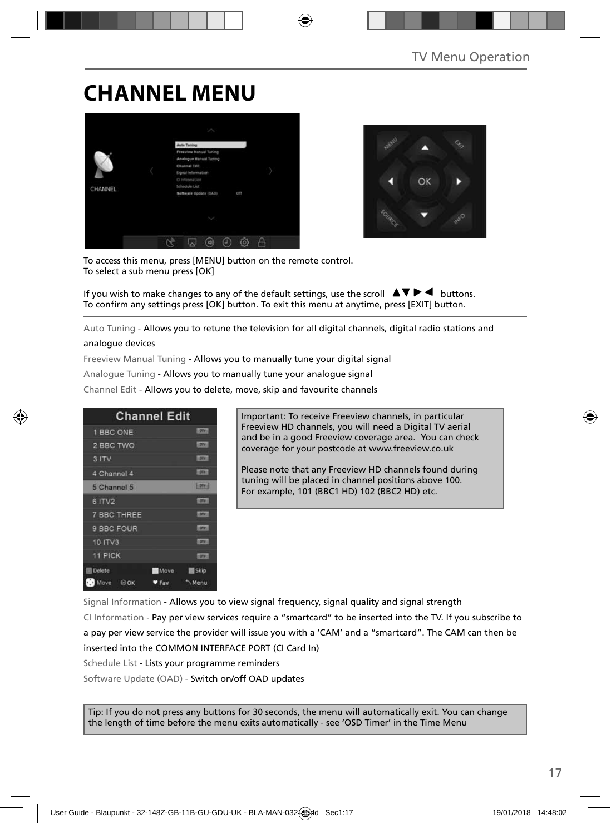## **CHANNEL MENU**





To access this menu, press [MENU] button on the remote control. To select a sub menu press [OK]

If you wish to make changes to any of the default settings, use the scroll  $\blacktriangle \blacktriangledown \blacktriangleright \blacktriangleleft$  buttons. To confirm any settings press [OK] button. To exit this menu at anytime, press [EXIT] button.

Auto Tuning - Allows you to retune the television for all digital channels, digital radio stations and

#### analogue devices

Freeview Manual Tuning - Allows you to manually tune your digital signal

Analogue Tuning - Allows you to manually tune your analogue signal

Channel Edit - Allows you to delete, move, skip and favourite channels

| <b>Channel Edit</b> |             |               |
|---------------------|-------------|---------------|
| 1 BBC ONE           |             | <b>LIDENT</b> |
| 2 BBC TWO           |             | 1,000         |
| 3 ITV               |             | 1,0741        |
| 4 Channel 4         |             | 10061         |
| 5 Channel 5         |             | 5.008.1       |
| 6 ITV2              |             | 1,0941        |
| <b>7 BBC THREE</b>  |             | <b>LOTY</b>   |
| 9 BBC FOUR          |             | <b>LEWIS</b>  |
| 10 ITV3             |             | <b>LOTH</b>   |
| <b>11 PICK</b>      |             | <b>COTAL</b>  |
| <b>Delete</b>       | <b>Move</b> | 图 Skip        |
| Move<br>$\odot$ OK  | $2$ Fay     | Menu          |

Important: To receive Freeview channels, in particular Freeview HD channels, you will need a Digital TV aerial and be in a good Freeview coverage area. You can check coverage for your postcode at www.freeview.co.uk

Please note that any Freeview HD channels found during tuning will be placed in channel positions above 100. For example, 101 (BBC1 HD) 102 (BBC2 HD) etc.

Signal Information - Allows you to view signal frequency, signal quality and signal strength CI Information - Pay per view services require a "smartcard" to be inserted into the TV. If you subscribe to a pay per view service the provider will issue you with a 'CAM' and a "smartcard". The CAM can then be inserted into the COMMON INTERFACE PORT (CI Card In) Schedule List - Lists your programme reminders

Software Update (OAD) - Switch on/off OAD updates

Tip: If you do not press any buttons for 30 seconds, the menu will automatically exit. You can change the length of time before the menu exits automatically - see 'OSD Timer' in the Time Menu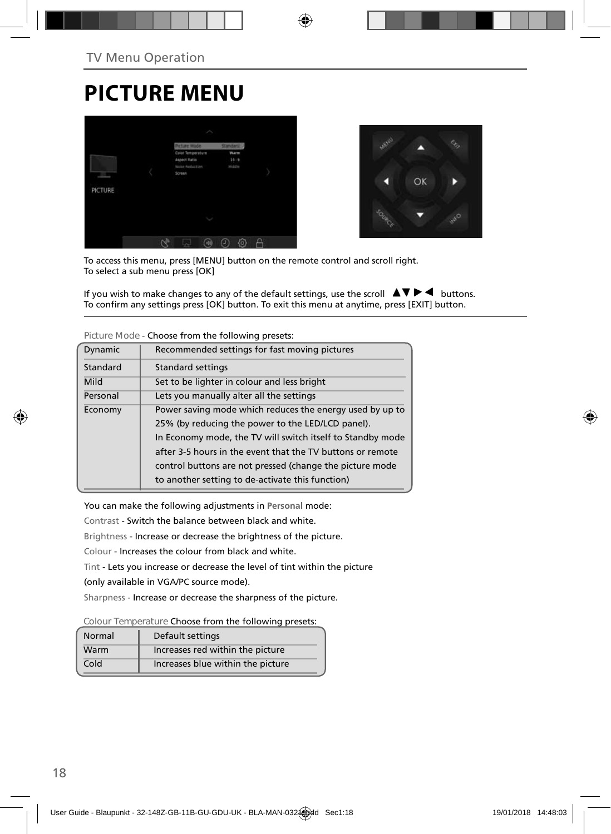## **PICTURE MENU**





To access this menu, press [MENU] button on the remote control and scroll right. To select a sub menu press [OK]

If you wish to make changes to any of the default settings, use the scroll  $\Delta \nabla \blacktriangleright$   $\blacktriangleleft$  buttons. To confirm any settings press [OK] button. To exit this menu at anytime, press [EXIT] button.

| Dynamic  | Recommended settings for fast moving pictures              |
|----------|------------------------------------------------------------|
| Standard | Standard settings                                          |
| Mild     | Set to be lighter in colour and less bright                |
| Personal | Lets you manually alter all the settings                   |
| Economy  | Power saving mode which reduces the energy used by up to   |
|          | 25% (by reducing the power to the LED/LCD panel).          |
|          | In Economy mode, the TV will switch itself to Standby mode |
|          | after 3-5 hours in the event that the TV buttons or remote |
|          | control buttons are not pressed (change the picture mode   |
|          | to another setting to de-activate this function)           |
|          |                                                            |

**Picture Mode** - Choose from the following presets:

You can make the following adjustments in **Personal** mode:

Contrast - Switch the balance between black and white.

Brightness - Increase or decrease the brightness of the picture.

Colour - Increases the colour from black and white.

Tint - Lets you increase or decrease the level of tint within the picture

(only available in VGA/PC source mode).

Sharpness - Increase or decrease the sharpness of the picture.

**Colour Temperature** Choose from the following presets:

| Normal | Default settings                  |
|--------|-----------------------------------|
| Warm   | Increases red within the picture  |
| Cold   | Increases blue within the picture |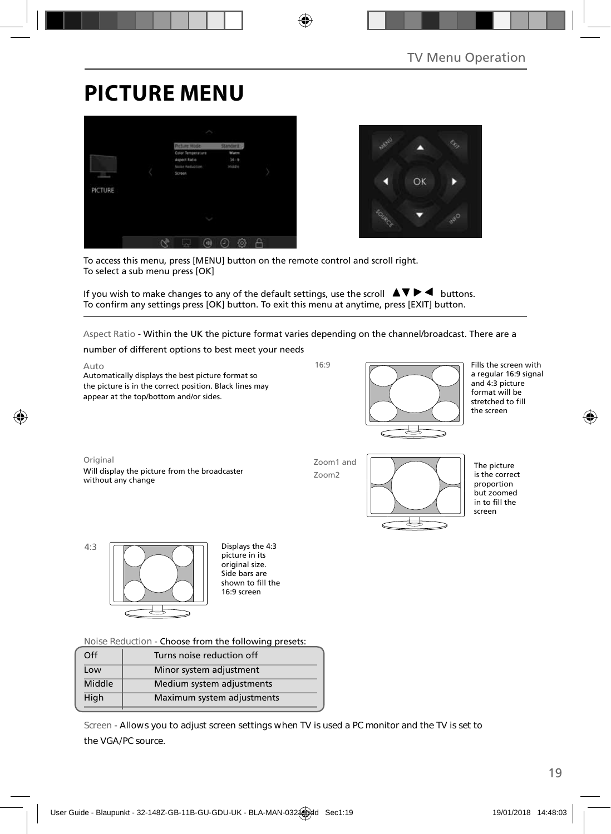## **PICTURE MENU**





To access this menu, press [MENU] button on the remote control and scroll right. To select a sub menu press [OK]

If you wish to make changes to any of the default settings, use the scroll  $\Delta \nabla \blacktriangleright$   $\blacktriangleleft$  buttons. To confirm any settings press [OK] button. To exit this menu at anytime, press [EXIT] button.

Aspect Ratio - Within the UK the picture format varies depending on the channel/broadcast. There are a

number of different options to best meet your needs

Auto Automatically displays the best picture format so the picture is in the correct position. Black lines may appear at the top/bottom and/or sides.



Fills the screen with a regular 16:9 signal and 4:3 picture format will be stretched to fill the screen

Original Will display the picture from the broadcaster without any change

Zoom1 and Zoom2

 $16.9$ 



The picture is the correct proportion but zoomed in to fill the screen



picture in its original size. Side bars are shown to fill the 16:9 screen

**Noise Reduction** - Choose from the following presets:

| Off    | Turns noise reduction off  |  |
|--------|----------------------------|--|
| Low    | Minor system adjustment    |  |
| Middle | Medium system adjustments  |  |
| High   | Maximum system adjustments |  |
|        |                            |  |

**Screen - Allows you to adjust screen settings when TV is used a PC monitor and the TV is set to the VGA/PC source.**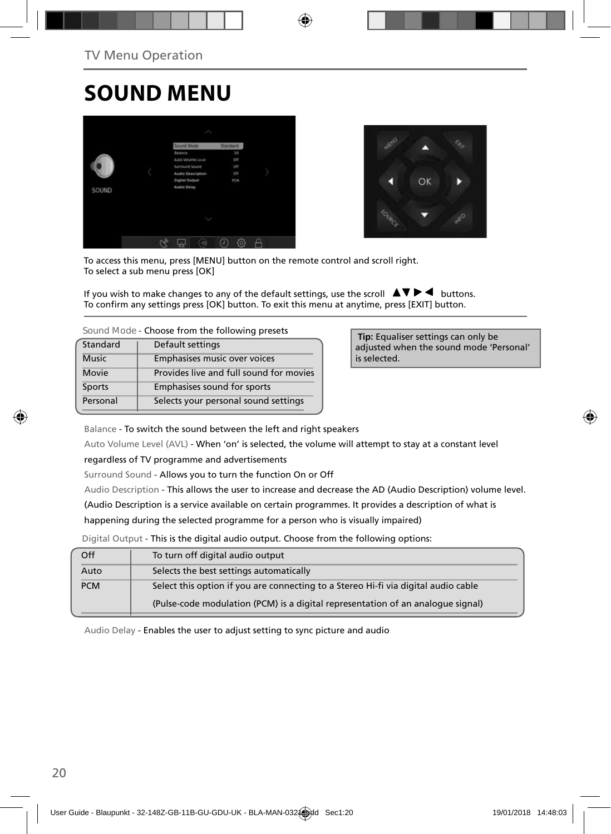## **SOUND MENU**





To access this menu, press [MENU] button on the remote control and scroll right. To select a sub menu press [OK]

If you wish to make changes to any of the default settings, use the scroll  $\blacktriangle \blacktriangledown \blacktriangleright \blacktriangleleft$  buttons. To confirm any settings press [OK] button. To exit this menu at anytime, press [EXIT] button.

| Sound Mode - Choose from the following presets |  |  |  |  |
|------------------------------------------------|--|--|--|--|
|------------------------------------------------|--|--|--|--|

| Standard     | Default settings                        |
|--------------|-----------------------------------------|
| <b>Music</b> | Emphasises music over voices            |
| Movie        | Provides live and full sound for movies |
| Sports       | Emphasises sound for sports             |
| Personal     | Selects your personal sound settings    |

 **Tip:** Equaliser settings can only be adjusted when the sound mode 'Personal' is selected.

Balance - To switch the sound between the left and right speakers

Auto Volume Level (AVL) - When 'on' is selected, the volume will attempt to stay at a constant level

regardless of TV programme and advertisements

Surround Sound - Allows you to turn the function On or Off

Audio Description - This allows the user to increase and decrease the AD (Audio Description) volume level.

(Audio Description is a service available on certain programmes. It provides a description of what is

happening during the selected programme for a person who is visually impaired)

Digital Output - This is the digital audio output. Choose from the following options:

| Off        | To turn off digital audio output                                                   |
|------------|------------------------------------------------------------------------------------|
| Auto       | Selects the best settings automatically                                            |
| <b>PCM</b> | Select this option if you are connecting to a Stereo Hi-fi via digital audio cable |
|            | (Pulse-code modulation (PCM) is a digital representation of an analogue signal)    |

Audio Delay - Enables the user to adjust setting to sync picture and audio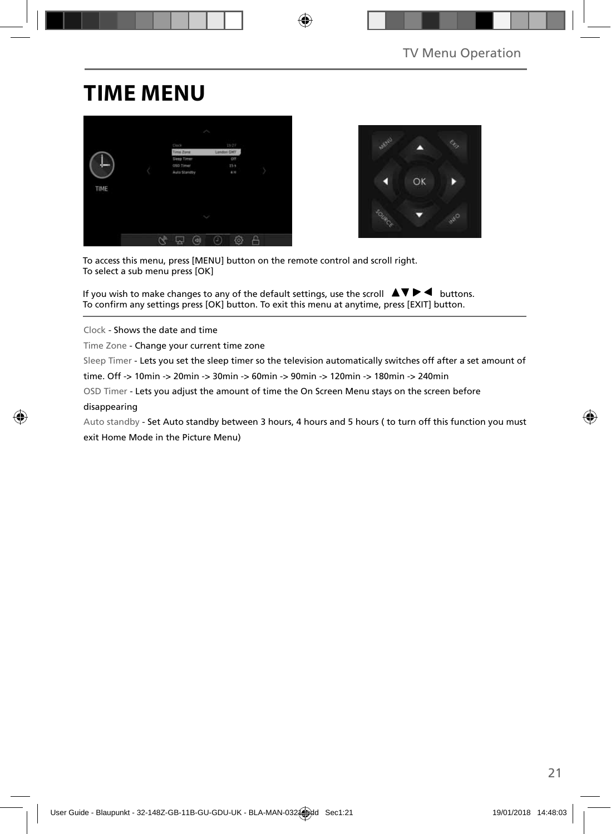## **TIME MENU**





To access this menu, press [MENU] button on the remote control and scroll right. To select a sub menu press [OK]

If you wish to make changes to any of the default settings, use the scroll  $\Box \blacktriangleright \blacktriangleleft$  buttons. To confirm any settings press [OK] button. To exit this menu at anytime, press [EXIT] button.

Clock - Shows the date and time

Time Zone - Change your current time zone

Sleep Timer - Lets you set the sleep timer so the television automatically switches off after a set amount of

time. Off -> 10min -> 20min -> 30min -> 60min -> 90min -> 120min -> 180min -> 240min

OSD Timer - Lets you adjust the amount of time the On Screen Menu stays on the screen before

#### disappearing

Auto standby - Set Auto standby between 3 hours, 4 hours and 5 hours ( to turn off this function you must exit Home Mode in the Picture Menu)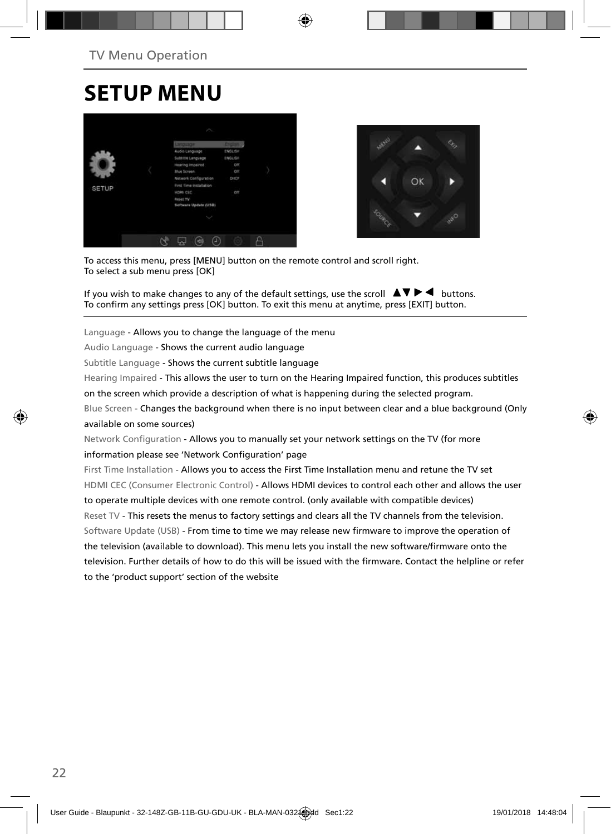## **SETUP MENU**





To access this menu, press [MENU] button on the remote control and scroll right. To select a sub menu press [OK]

If you wish to make changes to any of the default settings, use the scroll  $\Delta \nabla \blacktriangleright$   $\blacktriangleleft$  buttons. To confirm any settings press [OK] button. To exit this menu at anytime, press [EXIT] button.

Language - Allows you to change the language of the menu

Audio Language - Shows the current audio language

Subtitle Language - Shows the current subtitle language

Hearing Impaired - This allows the user to turn on the Hearing Impaired function, this produces subtitles

on the screen which provide a description of what is happening during the selected program.

Blue Screen - Changes the background when there is no input between clear and a blue background (Only available on some sources)

Network Configuration - Allows you to manually set your network settings on the TV (for more information please see 'Network Configuration' page

First Time Installation - Allows you to access the First Time Installation menu and retune the TV set HDMI CEC (Consumer Electronic Control) - Allows HDMI devices to control each other and allows the user to operate multiple devices with one remote control. (only available with compatible devices) Reset TV - This resets the menus to factory settings and clears all the TV channels from the television. Software Update (USB) - From time to time we may release new firmware to improve the operation of the television (available to download). This menu lets you install the new software/firmware onto the television. Further details of how to do this will be issued with the firmware. Contact the helpline or refer to the 'product support' section of the website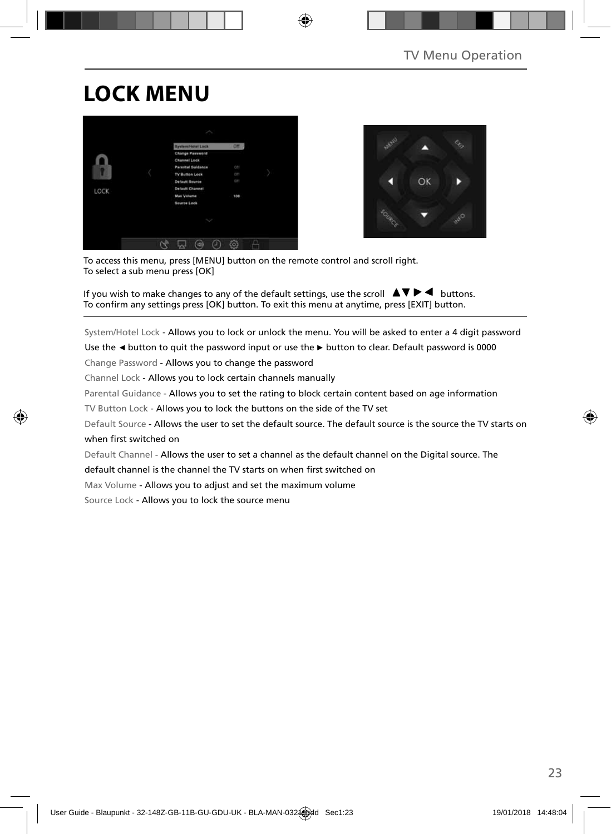# **LOCK MENU**





To access this menu, press [MENU] button on the remote control and scroll right. To select a sub menu press [OK]

If you wish to make changes to any of the default settings, use the scroll  $\blacktriangle \blacktriangledown \blacktriangleright \blacktriangleleft$  buttons. To confirm any settings press [OK] button. To exit this menu at anytime, press [EXIT] button.

System/Hotel Lock - Allows you to lock or unlock the menu. You will be asked to enter a 4 digit password

Use the **◄** button to quit the password input or use the **►** button to clear. Default password is 0000

Change Password - Allows you to change the password

Channel Lock - Allows you to lock certain channels manually

Parental Guidance - Allows you to set the rating to block certain content based on age information

TV Button Lock - Allows you to lock the buttons on the side of the TV set

Default Source - Allows the user to set the default source. The default source is the source the TV starts on when first switched on

Default Channel - Allows the user to set a channel as the default channel on the Digital source. The

default channel is the channel the TV starts on when first switched on

Max Volume - Allows you to adjust and set the maximum volume

Source Lock - Allows you to lock the source menu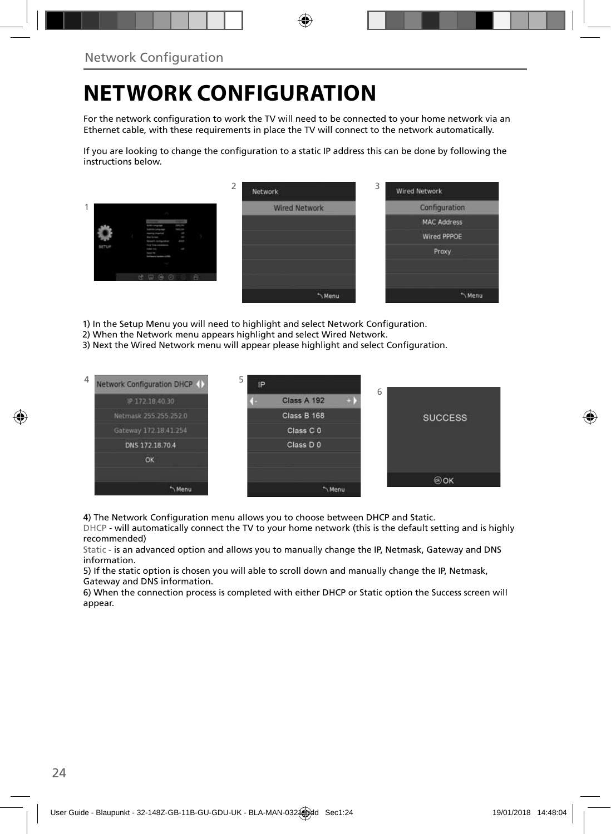## **NETWORK CONFIGURATION**

For the network configuration to work the TV will need to be connected to your home network via an Ethernet cable, with these requirements in place the TV will connect to the network automatically.

If you are looking to change the configuration to a static IP address this can be done by following the instructions below.



- 1) In the Setup Menu you will need to highlight and select Network Configuration.
- 2) When the Network menu appears highlight and select Wired Network.
- 3) Next the Wired Network menu will appear please highlight and select Configuration.



4) The Network Configuration menu allows you to choose between DHCP and Static.

DHCP - will automatically connect the TV to your home network (this is the default setting and is highly recommended)

Static - is an advanced option and allows you to manually change the IP, Netmask, Gateway and DNS information.

5) If the static option is chosen you will able to scroll down and manually change the IP, Netmask, Gateway and DNS information.

6) When the connection process is completed with either DHCP or Static option the Success screen will appear.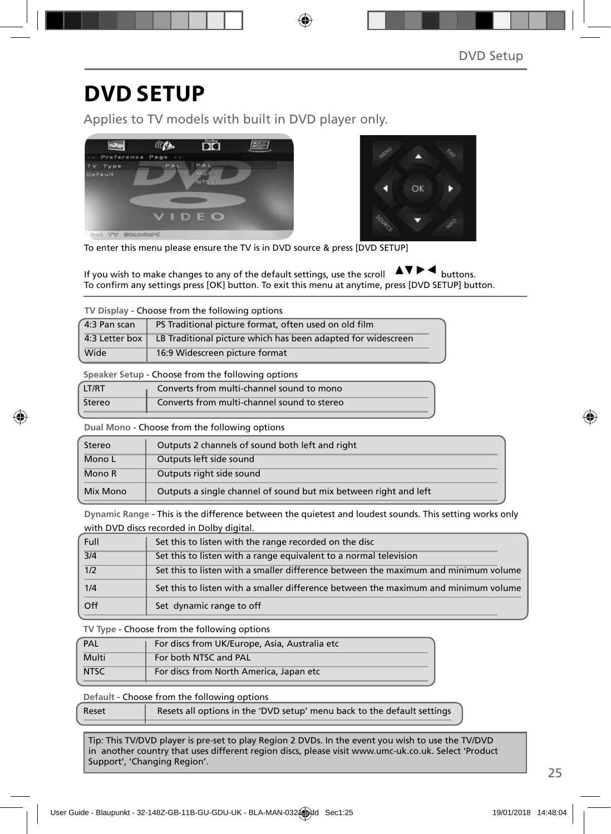### **DVD SETUP**

Applies to TV models with built in DVD player only.





To enter this menu please ensure the TV is in DVD source & press [DVD SETUP]

If you wish to make changes to any of the default settings, use the scroll  $\Box \Box \Box$  buttons. To confirm any settings press [OK] button. To exit this menu at anytime, press [DVD SETUP] button.

**TV Display** - Choose from the following options

| 4:3 Pan scan   | PS Traditional picture format, often used on old film        |  |  |
|----------------|--------------------------------------------------------------|--|--|
| 4:3 Letter box | LB Traditional picture which has been adapted for widescreen |  |  |
| Wide           | 16:9 Widescreen picture format                               |  |  |

**Speaker Setup** - Choose from the following options

| LT/RT  | Converts from multi-channel sound to mono   |
|--------|---------------------------------------------|
| Stereo | Converts from multi-channel sound to stereo |

**Dual Mono** - Choose from the following options

| Stereo   | Outputs 2 channels of sound both left and right                  |  |  |
|----------|------------------------------------------------------------------|--|--|
| Mono L   | Outputs left side sound                                          |  |  |
| Mono R   | Outputs right side sound                                         |  |  |
| Mix Mono | Outputs a single channel of sound but mix between right and left |  |  |

**Dynamic Range** - This is the difference between the quietest and loudest sounds. This setting works only with DVD discs recorded in Dolby digital.

| Full | Set this to listen with the range recorded on the disc                              |
|------|-------------------------------------------------------------------------------------|
| 3/4  | Set this to listen with a range equivalent to a normal television                   |
| 1/2  | Set this to listen with a smaller difference between the maximum and minimum volume |
| 1/4  | Set this to listen with a smaller difference between the maximum and minimum volume |
| Off  | Set dynamic range to off                                                            |

**TV Type** - Choose from the following options

| PAL         | For discs from UK/Europe, Asia, Australia etc |
|-------------|-----------------------------------------------|
| Multi       | For both NTSC and PAL                         |
| <b>NTSC</b> | For discs from North America, Japan etc       |

**Default** - Choose from the following options

| Reset | Resets all options in the 'DVD setup' menu back to the default settings |
|-------|-------------------------------------------------------------------------|
|       |                                                                         |

Tip: This TV/DVD player is pre-set to play Region 2 DVDs. In the event you wish to use the TV/DVD in another country that uses different region discs, please visit www.umc-uk.co.uk. Select 'Product Support', 'Changing Region'.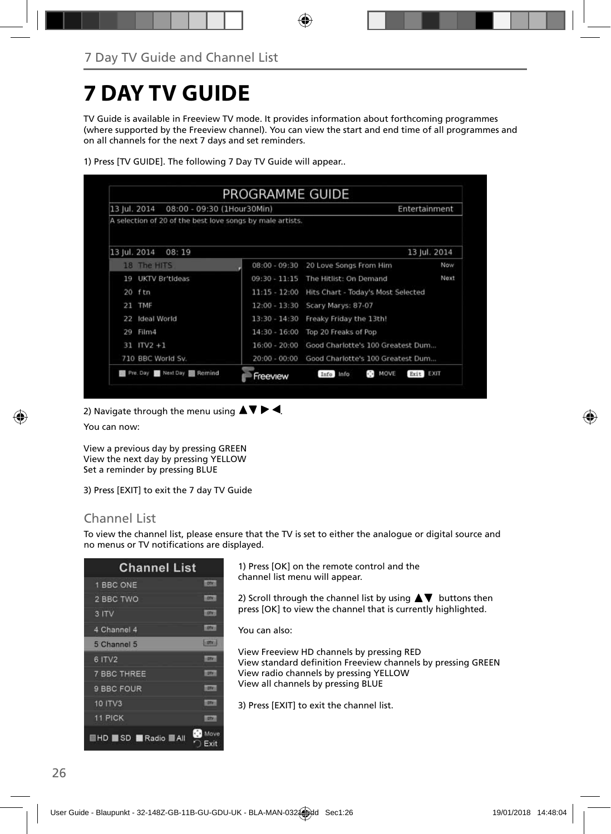## **7 DAY TV GUIDE**

TV Guide is available in Freeview TV mode. It provides information about forthcoming programmes (where supported by the Freeview channel). You can view the start and end time of all programmes and on all channels for the next 7 days and set reminders.

| 13 Jul. 2014<br>08:00 - 09:30 (1Hour30Min)                |                 | Entertainment                                      |              |
|-----------------------------------------------------------|-----------------|----------------------------------------------------|--------------|
| A selection of 20 of the best love songs by male artists. |                 |                                                    |              |
| 13 Jul. 2014<br>08:19                                     |                 |                                                    | 13 Jul. 2014 |
| 18 The HITS                                               | $08:00 - 09:30$ | 20 Love Songs From Him                             | Now          |
| <b>UKTV Br'tideas</b><br>19                               | $09:30 - 11:15$ | The Hitlist: On Demand                             | Next         |
| $20$ ftn                                                  | $11:15 - 12:00$ | Hits Chart - Today's Most Selected                 |              |
| <b>TMF</b><br>21                                          | $12:00 - 13:30$ | Scary Marys: 87-07                                 |              |
| Ideal World<br>22                                         |                 | 13:30 - 14:30 Freaky Friday the 13th!              |              |
| Film4<br>29                                               | 14:30 - 16:00   | Top 20 Freaks of Pop                               |              |
| $31$ ITV2 +1                                              | $16:00 - 20:00$ | Good Charlotte's 100 Greatest Dum                  |              |
| 710 BBC World Sv.                                         | $20:00 - 00:00$ | Good Charlotte's 100 Greatest Dum                  |              |
| Pre. Day <b>B</b> Next Day <b>B</b> Remind                | Freeview        | MOVE<br>$\lambda \rightarrow$<br>Info Info<br>Exit | <b>EXIT</b>  |

1) Press [TV GUIDE]. The following 7 Day TV Guide will appear..

2) Navigate through the menu using  $\Delta \nabla \triangleright$  4.

You can now:

View a previous day by pressing GREEN View the next day by pressing YELLOW Set a reminder by pressing BLUE

3) Press [EXIT] to exit the 7 day TV Guide

### Channel List

To view the channel list, please ensure that the TV is set to either the analogue or digital source and no menus or TV notifications are displayed.

| <b>Channel List</b>            |               |
|--------------------------------|---------------|
| 1 BBC ONE                      | <b>IDDA</b>   |
| 2 BBC TWO                      | <b>LODGE</b>  |
| 3 ITV                          | <b>LOTAL</b>  |
| 4 Channel 4                    | 10N           |
| 5 Channel 5                    | <b>Fights</b> |
| 6 ITV2                         | m             |
| <b>7 BBC THREE</b>             | <b>ISBN</b>   |
| 9 BBC FOUR                     | <b>STAY</b>   |
| <b>10 ITV3</b>                 | m             |
| <b>11 PICK</b>                 | m             |
| ۰D<br><b>EHD SD Radio BAIL</b> | Move<br>Ext   |

1) Press [OK] on the remote control and the channel list menu will appear.

2) Scroll through the channel list by using  $\blacktriangle \blacktriangledown$  buttons then press [OK] to view the channel that is currently highlighted.

You can also:

View Freeview HD channels by pressing RED View standard definition Freeview channels by pressing GREEN View radio channels by pressing YELLOW View all channels by pressing BLUE

3) Press [EXIT] to exit the channel list.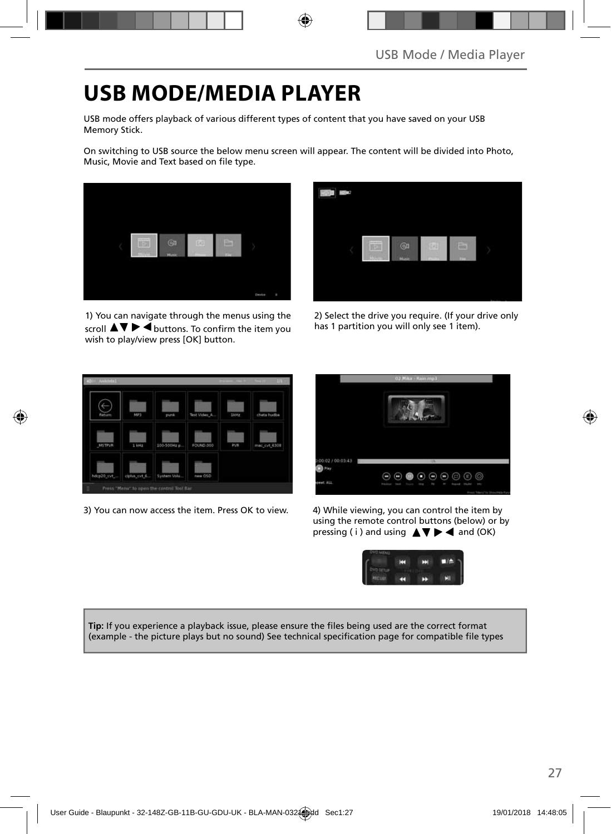## **USB MODE/MEDIA PLAYER**

USB mode offers playback of various different types of content that you have saved on your USB Memory Stick.

On switching to USB source the below menu screen will appear. The content will be divided into Photo, Music, Movie and Text based on file type.



1) You can navigate through the menus using the scroll  $\blacktriangle\blacktriangledown\blacktriangleright\blacktriangleleft$  buttons. To confirm the item you wish to play/view press [OK] button.



2) Select the drive you require. (If your drive only has 1 partition you will only see 1 item).



3) You can now access the item. Press OK to view. 4) While viewing, you can control the item by



using the remote control buttons (below) or by pressing ( i ) and using  $\triangle \blacktriangledown \blacktriangleright \blacktriangleleft$  and (OK)



Tip: If you experience a playback issue, please ensure the files being used are the correct format (example - the picture plays but no sound) See technical specification page for compatible file types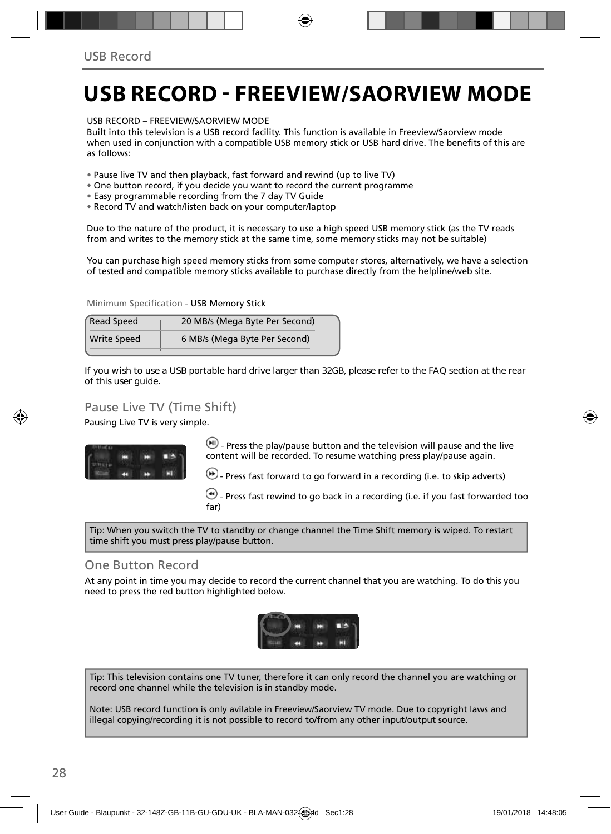### **USB RECORD - FREEVIEW/SAORVIEW MODE**

USB RECORD – FREEVIEW/SAORVIEW MODE

Built into this television is a USB record facility. This function is available in Freeview/Saorview mode when used in conjunction with a compatible USB memory stick or USB hard drive. The benefits of this are as follows:

- Pause live TV and then playback, fast forward and rewind (up to live TV)
- One button record, if you decide you want to record the current programme
- Easy programmable recording from the 7 day TV Guide
- Record TV and watch/listen back on your computer/laptop

Due to the nature of the product, it is necessary to use a high speed USB memory stick (as the TV reads from and writes to the memory stick at the same time, some memory sticks may not be suitable)

You can purchase high speed memory sticks from some computer stores, alternatively, we have a selection of tested and compatible memory sticks available to purchase directly from the helpline/web site.

Minimum Specification - USB Memory Stick

| <b>Read Speed</b>  | 20 MB/s (Mega Byte Per Second) |
|--------------------|--------------------------------|
| <b>Write Speed</b> | 6 MB/s (Mega Byte Per Second)  |

**If you wish to use a USB portable hard drive larger than 32GB, please refer to the FAQ section at the rear of this user guide.**

### Pause Live TV (Time Shift)

Pausing Live TV is very simple.



 $(W)$  - Press the play/pause button and the television will pause and the live content will be recorded. To resume watching press play/pause again.

 $\left(\bullet\right)$  - Press fast forward to go forward in a recording (i.e. to skip adverts)

 $\bigcirc$  - Press fast rewind to go back in a recording (i.e. if you fast forwarded too far)

Tip: When you switch the TV to standby or change channel the Time Shift memory is wiped. To restart time shift you must press play/pause button.

#### One Button Record

At any point in time you may decide to record the current channel that you are watching. To do this you need to press the red button highlighted below.



Tip: This television contains one TV tuner, therefore it can only record the channel you are watching or record one channel while the television is in standby mode.

Note: USB record function is only avilable in Freeview/Saorview TV mode. Due to copyright laws and illegal copying/recording it is not possible to record to/from any other input/output source.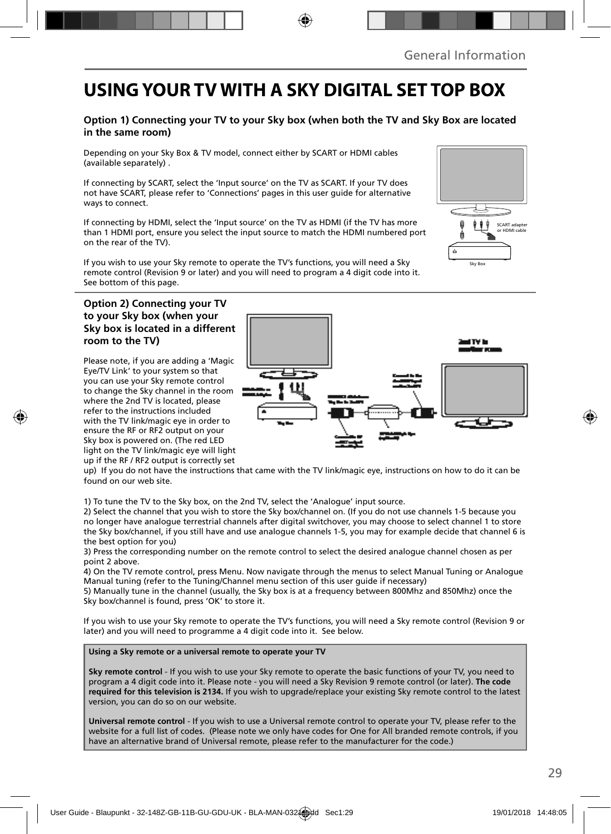### **USING YOUR TV WITH A SKY DIGITAL SET TOP BOX**

#### **Option 1) Connecting your TV to your Sky box (when both the TV and Sky Box are located in the same room)**

Depending on your Sky Box & TV model, connect either by SCART or HDMI cables (available separately) .

If connecting by SCART, select the 'Input source' on the TV as SCART. If your TV does not have SCART, please refer to 'Connections' pages in this user guide for alternative ways to connect.

If connecting by HDMI, select the 'Input source' on the TV as HDMI (if the TV has more than 1 HDMI port, ensure you select the input source to match the HDMI numbered port on the rear of the TV).

If you wish to use your Sky remote to operate the TV's functions, you will need a Sky remote control (Revision 9 or later) and you will need to program a 4 digit code into it. See bottom of this page.

#### **Option 2) Connecting your TV to your Sky box (when your Sky box is located in a different room to the TV)**

Please note, if you are adding a 'Magic Eye/TV Link' to your system so that you can use your Sky remote control to change the Sky channel in the room where the 2nd TV is located, please refer to the instructions included with the TV link/magic eye in order to ensure the RF or RF2 output on your Sky box is powered on. (The red LED light on the TV link/magic eye will light up if the RF / RF2 output is correctly set



up) If you do not have the instructions that came with the TV link/magic eye, instructions on how to do it can be found on our web site.

1) To tune the TV to the Sky box, on the 2nd TV, select the 'Analogue' input source.

2) Select the channel that you wish to store the Sky box/channel on. (If you do not use channels 1-5 because you no longer have analogue terrestrial channels after digital switchover, you may choose to select channel 1 to store the Sky box/channel, if you still have and use analogue channels 1-5, you may for example decide that channel 6 is the best option for you)

3) Press the corresponding number on the remote control to select the desired analogue channel chosen as per point 2 above.

4) On the TV remote control, press Menu. Now navigate through the menus to select Manual Tuning or Analogue Manual tuning (refer to the Tuning/Channel menu section of this user guide if necessary)

5) Manually tune in the channel (usually, the Sky box is at a frequency between 800Mhz and 850Mhz) once the Sky box/channel is found, press 'OK' to store it.

If you wish to use your Sky remote to operate the TV's functions, you will need a Sky remote control (Revision 9 or later) and you will need to programme a 4 digit code into it. See below.

**Using a Sky remote or a universal remote to operate your TV** 

**Sky remote control** - If you wish to use your Sky remote to operate the basic functions of your TV, you need to program a 4 digit code into it. Please note - you will need a Sky Revision 9 remote control (or later). **The code required for this television is 2134.** If you wish to upgrade/replace your existing Sky remote control to the latest version, you can do so on our website.

**Universal remote control** - If you wish to use a Universal remote control to operate your TV, please refer to the website for a full list of codes. (Please note we only have codes for One for All branded remote controls, if you have an alternative brand of Universal remote, please refer to the manufacturer for the code.)

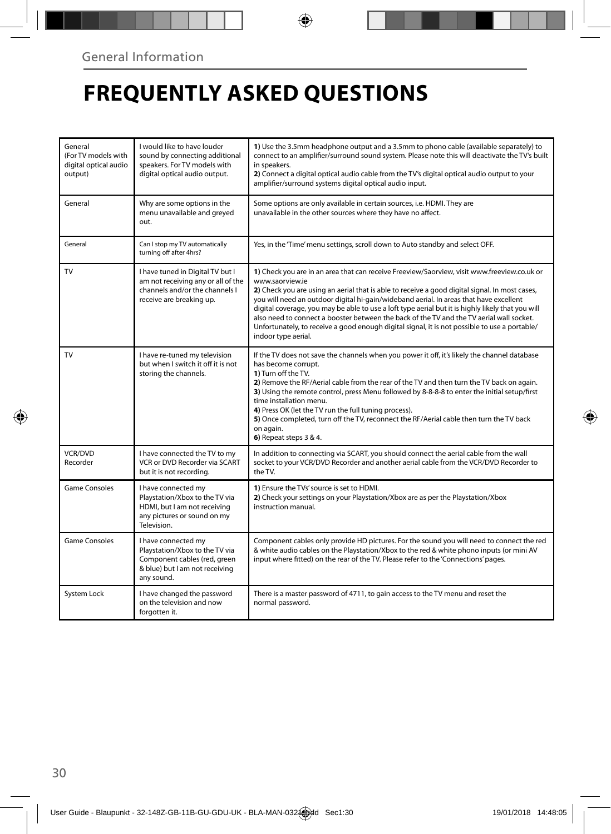## **FREQUENTLY ASKED QUESTIONS**

| General<br>(For TV models with<br>digital optical audio<br>output) | I would like to have louder<br>sound by connecting additional<br>speakers. For TV models with<br>digital optical audio output.        | 1) Use the 3.5mm headphone output and a 3.5mm to phono cable (available separately) to<br>connect to an amplifier/surround sound system. Please note this will deactivate the TV's built<br>in speakers.<br>2) Connect a digital optical audio cable from the TV's digital optical audio output to your<br>amplifier/surround systems digital optical audio input.                                                                                                                                                                                                                                                                  |  |
|--------------------------------------------------------------------|---------------------------------------------------------------------------------------------------------------------------------------|-------------------------------------------------------------------------------------------------------------------------------------------------------------------------------------------------------------------------------------------------------------------------------------------------------------------------------------------------------------------------------------------------------------------------------------------------------------------------------------------------------------------------------------------------------------------------------------------------------------------------------------|--|
| General                                                            | Why are some options in the<br>menu unavailable and greyed<br>out.                                                                    | Some options are only available in certain sources, i.e. HDMI. They are<br>unavailable in the other sources where they have no affect.                                                                                                                                                                                                                                                                                                                                                                                                                                                                                              |  |
| General                                                            | Can I stop my TV automatically<br>turning off after 4hrs?                                                                             | Yes, in the 'Time' menu settings, scroll down to Auto standby and select OFF.                                                                                                                                                                                                                                                                                                                                                                                                                                                                                                                                                       |  |
| <b>TV</b>                                                          | I have tuned in Digital TV but I<br>am not receiving any or all of the<br>channels and/or the channels I<br>receive are breaking up.  | 1) Check you are in an area that can receive Freeview/Saorview, visit www.freeview.co.uk or<br>www.saorview.ie<br>2) Check you are using an aerial that is able to receive a good digital signal. In most cases,<br>you will need an outdoor digital hi-gain/wideband aerial. In areas that have excellent<br>digital coverage, you may be able to use a loft type aerial but it is highly likely that you will<br>also need to connect a booster between the back of the TV and the TV aerial wall socket.<br>Unfortunately, to receive a good enough digital signal, it is not possible to use a portable/<br>indoor type aerial. |  |
| <b>TV</b>                                                          | I have re-tuned my television<br>but when I switch it off it is not<br>storing the channels.                                          | If the TV does not save the channels when you power it off, it's likely the channel database<br>has become corrupt.<br>1) Turn off the TV.<br>2) Remove the RF/Aerial cable from the rear of the TV and then turn the TV back on again.<br>3) Using the remote control, press Menu followed by 8-8-8-8 to enter the initial setup/first<br>time installation menu.<br>4) Press OK (let the TV run the full tuning process).<br>5) Once completed, turn off the TV, reconnect the RF/Aerial cable then turn the TV back<br>on again.<br>6) Repeat steps 3 & 4.                                                                       |  |
| <b>VCR/DVD</b><br>Recorder                                         | I have connected the TV to my<br>VCR or DVD Recorder via SCART<br>but it is not recording.                                            | In addition to connecting via SCART, you should connect the aerial cable from the wall<br>socket to your VCR/DVD Recorder and another aerial cable from the VCR/DVD Recorder to<br>the TV.                                                                                                                                                                                                                                                                                                                                                                                                                                          |  |
| <b>Game Consoles</b>                                               | I have connected my<br>Playstation/Xbox to the TV via<br>HDMI, but I am not receiving<br>any pictures or sound on my<br>Television.   | 1) Ensure the TVs' source is set to HDMI.<br>2) Check your settings on your Playstation/Xbox are as per the Playstation/Xbox<br>instruction manual.                                                                                                                                                                                                                                                                                                                                                                                                                                                                                 |  |
| Game Consoles                                                      | I have connected my<br>Playstation/Xbox to the TV via<br>Component cables (red, green<br>& blue) but I am not receiving<br>any sound. | Component cables only provide HD pictures. For the sound you will need to connect the red<br>& white audio cables on the Playstation/Xbox to the red & white phono inputs (or mini AV<br>input where fitted) on the rear of the TV. Please refer to the 'Connections' pages.                                                                                                                                                                                                                                                                                                                                                        |  |
| System Lock                                                        | I have changed the password<br>on the television and now<br>forgotten it.                                                             | There is a master password of 4711, to gain access to the TV menu and reset the<br>normal password.                                                                                                                                                                                                                                                                                                                                                                                                                                                                                                                                 |  |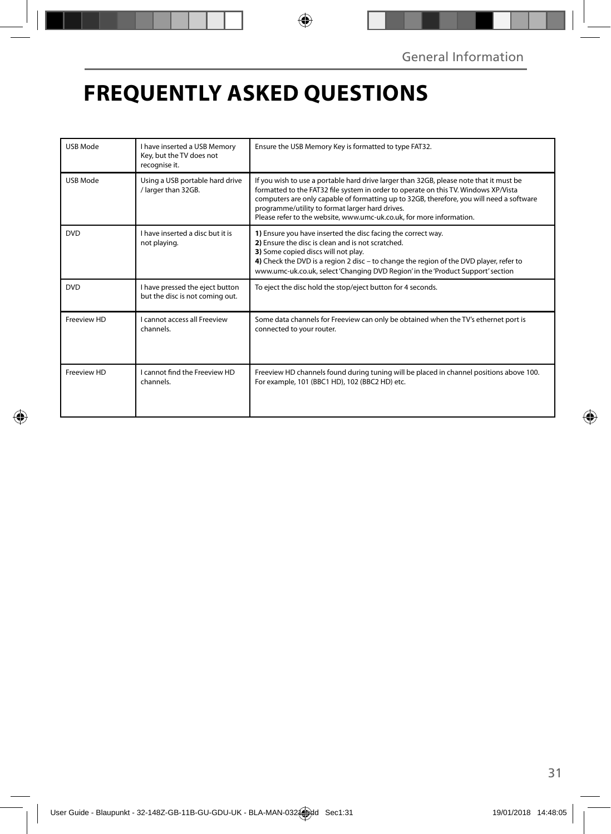## **FREQUENTLY ASKED QUESTIONS**

| <b>USB Mode</b> | I have inserted a USB Memory<br>Key, but the TV does not<br>recognise it. | Ensure the USB Memory Key is formatted to type FAT32.                                                                                                                                                                                                                                                                                                                                                |  |
|-----------------|---------------------------------------------------------------------------|------------------------------------------------------------------------------------------------------------------------------------------------------------------------------------------------------------------------------------------------------------------------------------------------------------------------------------------------------------------------------------------------------|--|
| <b>USB Mode</b> | Using a USB portable hard drive<br>/ larger than 32GB.                    | If you wish to use a portable hard drive larger than 32GB, please note that it must be<br>formatted to the FAT32 file system in order to operate on this TV. Windows XP/Vista<br>computers are only capable of formatting up to 32GB, therefore, you will need a software<br>programme/utility to format larger hard drives.<br>Please refer to the website, www.umc-uk.co.uk, for more information. |  |
| <b>DVD</b>      | I have inserted a disc but it is<br>not playing.                          | 1) Ensure you have inserted the disc facing the correct way.<br>2) Ensure the disc is clean and is not scratched.<br>3) Some copied discs will not play.<br>4) Check the DVD is a region 2 disc - to change the region of the DVD player, refer to<br>www.umc-uk.co.uk, select 'Changing DVD Region' in the 'Product Support' section                                                                |  |
| <b>DVD</b>      | I have pressed the eject button<br>but the disc is not coming out.        | To eject the disc hold the stop/eject button for 4 seconds.                                                                                                                                                                                                                                                                                                                                          |  |
| Freeview HD     | Lcannot access all Freeview<br>channels.                                  | Some data channels for Freeview can only be obtained when the TV's ethernet port is<br>connected to your router.                                                                                                                                                                                                                                                                                     |  |
| Freeview HD     | I cannot find the Freeview HD<br>channels.                                | Freeview HD channels found during tuning will be placed in channel positions above 100.<br>For example, 101 (BBC1 HD), 102 (BBC2 HD) etc.                                                                                                                                                                                                                                                            |  |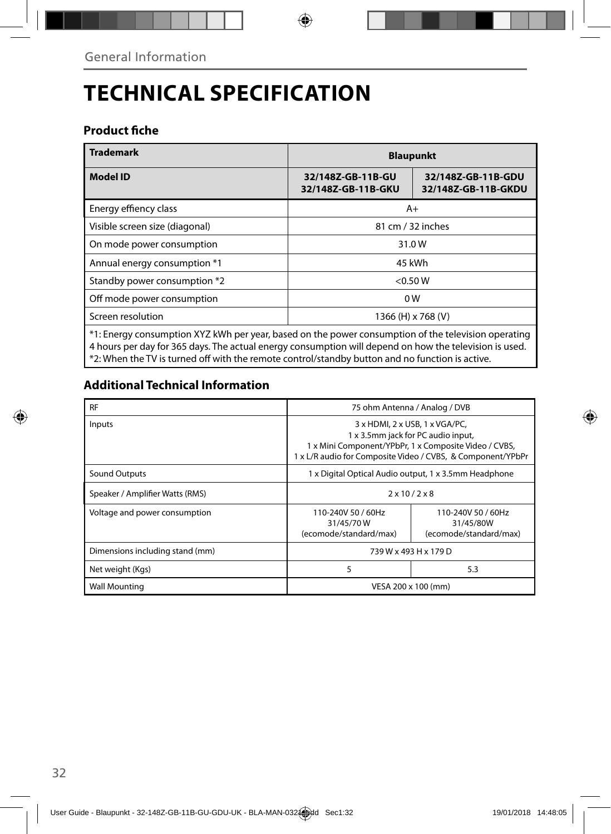# **TECHNICAL SPECIFICATION**

### **Product fiche**

| <b>Trademark</b>                                                                                    | <b>Blaupunkt</b>                        |                                           |  |
|-----------------------------------------------------------------------------------------------------|-----------------------------------------|-------------------------------------------|--|
| <b>Model ID</b>                                                                                     | 32/148Z-GB-11B-GU<br>32/148Z-GB-11B-GKU | 32/148Z-GB-11B-GDU<br>32/148Z-GB-11B-GKDU |  |
| Energy effiency class                                                                               | A+                                      |                                           |  |
| Visible screen size (diagonal)                                                                      | 81 cm / 32 inches                       |                                           |  |
| On mode power consumption                                                                           | 31.0W                                   |                                           |  |
| Annual energy consumption *1                                                                        | 45 kWh                                  |                                           |  |
| Standby power consumption *2                                                                        | < 0.50 W                                |                                           |  |
| Off mode power consumption                                                                          | 0 <sub>W</sub>                          |                                           |  |
| Screen resolution                                                                                   | 1366 (H) x 768 (V)                      |                                           |  |
| *1: Energy consumption XYZ kWh per year, based on the power consumption of the television operating |                                         |                                           |  |

4 hours per day for 365 days. The actual energy consumption will depend on how the television is used. \*2: When the TV is turned off with the remote control/standby button and no function is active.

### **Additional Technical Information**

| <b>RF</b>                       | 75 ohm Antenna / Analog / DVB                                                                                                                                                                |                                                           |  |
|---------------------------------|----------------------------------------------------------------------------------------------------------------------------------------------------------------------------------------------|-----------------------------------------------------------|--|
| Inputs                          | 3 x HDMI, 2 x USB, 1 x VGA/PC,<br>1 x 3.5mm jack for PC audio input,<br>1 x Mini Component/YPbPr, 1 x Composite Video / CVBS,<br>1 x L/R audio for Composite Video / CVBS, & Component/YPbPr |                                                           |  |
| Sound Outputs                   | 1 x Digital Optical Audio output, 1 x 3.5mm Headphone                                                                                                                                        |                                                           |  |
| Speaker / Amplifier Watts (RMS) | $2 \times 10 / 2 \times 8$                                                                                                                                                                   |                                                           |  |
| Voltage and power consumption   | 110-240V 50 / 60Hz<br>31/45/70W<br>(ecomode/standard/max)                                                                                                                                    | 110-240V 50 / 60Hz<br>31/45/80W<br>(ecomode/standard/max) |  |
| Dimensions including stand (mm) | 739 W x 493 H x 179 D                                                                                                                                                                        |                                                           |  |
| Net weight (Kgs)                | 5                                                                                                                                                                                            | 5.3                                                       |  |
| <b>Wall Mounting</b>            | VESA 200 x 100 (mm)                                                                                                                                                                          |                                                           |  |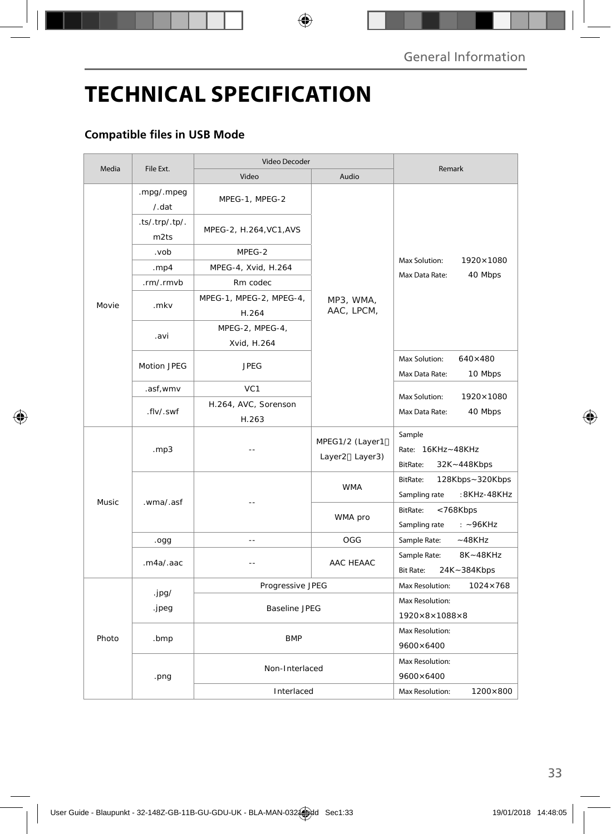# **TECHNICAL SPECIFICATION**

### **Compatible files in USB Mode**

| Media | File Ext.              | Video Decoder                    |                                   |                                                              |
|-------|------------------------|----------------------------------|-----------------------------------|--------------------------------------------------------------|
|       |                        | Video                            | Audio                             | Remark                                                       |
| Movie | .mpg/.mpeg<br>/.dat    | MPEG-1, MPEG-2                   | MP3, WMA,<br>AAC, LPCM,           | 1920×1080<br>Max Solution:<br>40 Mbps<br>Max Data Rate:      |
|       | .ts/.trp/.tp/.<br>m2ts | MPEG-2, H.264, VC1, AVS          |                                   |                                                              |
|       | .vob                   | MPEG-2                           |                                   |                                                              |
|       | mp4                    | MPEG-4, Xvid, H.264              |                                   |                                                              |
|       | .rm/.rmvb              | Rm codec                         |                                   |                                                              |
|       | .mkv                   | MPEG-1, MPEG-2, MPEG-4,<br>H.264 |                                   |                                                              |
|       |                        | MPEG-2, MPEG-4,                  |                                   |                                                              |
|       | .avi                   | Xvid, H.264                      |                                   |                                                              |
|       | Motion JPEG            | <b>JPEG</b>                      |                                   | Max Solution:<br>$640\times480$<br>Max Data Rate:<br>10 Mbps |
|       | .asf, wmv              | VC <sub>1</sub>                  |                                   | Max Solution:<br>1920×1080<br>Max Data Rate:<br>40 Mbps      |
|       | .flv/.swf              | H.264, AVC, Sorenson             |                                   |                                                              |
|       |                        | H.263                            |                                   |                                                              |
| Music | .mp3                   |                                  | MPEG1/2 (Layer1<br>Layer2 Layer3) | Sample<br>Rate: 16KHz~48KHz<br>32K~448Kbps<br>BitRate:       |
|       | .wma/.asf              |                                  | <b>WMA</b>                        | 128Kbps~320Kbps<br>BitRate:<br>:8KHz-48KHz<br>Sampling rate  |
|       |                        |                                  | WMA pro                           | BitRate:<br><768Kbps<br>Sampling rate<br>$: -96KHz$          |
|       | .ogg                   | $\sim$                           | OGG                               | Sample Rate:<br>$-48KHz$                                     |
|       | .m4a/.aac              | $\sim$                           | AAC HEAAC                         | 8K~48KHz<br>Sample Rate:<br><b>Bit Rate:</b><br>24K~384Kbps  |
|       |                        | Progressive JPEG                 |                                   | Max Resolution:<br>$1024 \times 768$                         |
| Photo | .jpg/                  |                                  |                                   | Max Resolution:                                              |
|       | .jpeg                  | <b>Baseline JPEG</b>             |                                   | 1920×8×1088×8                                                |
|       | .bmp                   | <b>BMP</b>                       |                                   | Max Resolution:                                              |
|       |                        |                                  |                                   | 9600×6400                                                    |
|       | .png                   | Non-Interlaced                   |                                   | Max Resolution:<br>9600×6400                                 |
|       |                        | Interlaced                       |                                   | Max Resolution:<br>1200×800                                  |